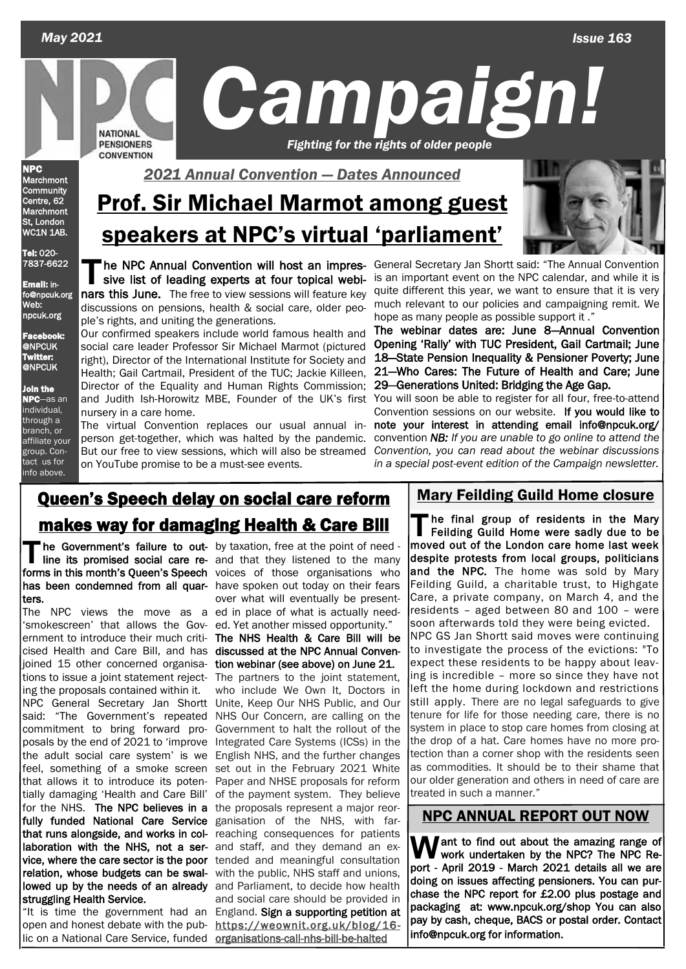*Issue 163*

 *May 2021*



*C ampaign! Fighting for the rights of older people* 

NPC Marchmont **Community** Centre, 62 **Marchmont** St, London WC1N 1AB.

Tel: 020- 7837-6622

Email: info@npcuk.org Web: npcuk.org

Facebook: @NPCUK Twitter: @NPCUK

In the NPC—as an individual, through a branch, or affiliate your group. Contact us for info above.

# Prof. Sir Michael Marmot among guest speakers at NPC's virtual 'parliament'

The NPC Annual Convention will host an impressive list of leading experts at four topical webinars this June. The free to view sessions will feature key he NPC Annual Convention will host an impressive list of leading experts at four topical webidiscussions on pensions, health & social care, older people's rights, and uniting the generations.

Our confirmed speakers include world famous health and social care leader Professor Sir Michael Marmot (pictured right), Director of the International Institute for Society and Health; Gail Cartmail, President of the TUC; Jackie Killeen, Director of the Equality and Human Rights Commission; and Judith Ish-Horowitz MBE, Founder of the UK's first nursery in a care home.

The virtual Convention replaces our usual annual inperson get-together, which was halted by the pandemic. But our free to view sessions, which will also be streamed on YouTube promise to be a must-see events.

General Secretary Jan Shortt said: "The Annual Convention is an important event on the NPC calendar, and while it is quite different this year, we want to ensure that it is very much relevant to our policies and campaigning remit. We hope as many people as possible support it ."

The webinar dates are: June 8—Annual Convention Opening 'Rally' with TUC President, Gail Cartmail; June 18—State Pension Inequality & Pensioner Poverty; June 21—Who Cares: The Future of Health and Care; June 29—Generations United: Bridging the Age Gap.

You will soon be able to register for all four, free-to-attend Convention sessions on our website. If you would like to note your interest in attending email info@npcuk.org/ convention *NB: If you are unable to go online to attend the Convention, you can read about the webinar discussions in a special post-event edition of the Campaign newsletter.*

# **Queen's Speech delay on social care reform** | Mary Feilding Guild Home closure makes way for damaging Health & Care Bill

The Government's failure to out- by taxation, free at the point of need-<br>line its promised social care re- and that they listened to the many<br>forms in this month's Queen's Speech veloce, of these experientions who forms in this month's Queen's Speech voices of those organisations who has been condemned from all quar- have spoken out today on their fears ters.

The NPC views the move as a ed in place of what is actually need-'smokescreen' that allows the Gov- ed. Yet another missed opportunity." ernment to introduce their much criti- The NHS Health & Care Bill will be cised Health and Care Bill, and has discussed at the NPC Annual Convenjoined 15 other concerned organisa- tion webinar (see above) on June 21. tions to issue a joint statement reject-The partners to the joint statement, ing the proposals contained within it. NPC General Secretary Jan Shortt Unite, Keep Our NHS Public, and Our said: "The Government's repeated NHS Our Concern, are calling on the commitment to bring forward proposals by the end of 2021 to 'improve the adult social care system' is we feel, something of a smoke screen that allows it to introduce its potentially damaging 'Health and Care Bill' for the NHS. The NPC believes in a fully funded National Care Service that runs alongside, and works in collaboration with the NHS, not a ser- and staff, and they demand an exvice, where the care sector is the poor tended and meaningful consultation relation, whose budgets can be swal- with the public, NHS staff and unions, lowed up by the needs of an already and Parliament, to decide how health struggling Health Service.

open and honest debate with the pub- [https://weownit.org.uk/blog/16](https://weownit.org.uk/blog/16-organisations-call-nhs-bill-be-halted) lic on a National Care Service, funded organisations-call-nhs-bill-be-halted

he Government's failure to out- by taxation, free at the point of need over what will eventually be present-

"It is time the government had an England. Sign a supporting petition at who include We Own It, Doctors in Government to halt the rollout of the Integrated Care Systems (ICSs) in the English NHS, and the further changes set out in the February 2021 White Paper and NHSE proposals for reform of the payment system. They believe the proposals represent a major reorganisation of the NHS, with farreaching consequences for patients and social care should be provided in

The final group of residents in the Mary<br>Feilding Guild Home were sadly due to be<br>moved out of the Landan care home lost week he final group of residents in the Mary moved out of the London care home last week despite protests from local groups, politicians and the NPC. The home was sold by Mary Feilding Guild, a charitable trust, to Highgate Care, a private company, on March 4, and the residents – aged between 80 and 100 – were soon afterwards told they were being evicted. NPC GS Jan Shortt said moves were continuing to investigate the process of the evictions: "To expect these residents to be happy about leaving is incredible – more so since they have not left the home during lockdown and restrictions still apply. There are no legal safeguards to give tenure for life for those needing care, there is no system in place to stop care homes from closing at the drop of a hat. Care homes have no more protection than a corner shop with the residents seen as commodities. It should be to their shame that our older generation and others in need of care are treated in such a manner."

### NPC ANNUAL REPORT OUT NOW

**W**ant to find out about the amazing range of<br>work undertaken by the NPC? The NPC Re-<br>nort April 2010, March 2021 details all we are port - April 2019 - March 2021 details all we are doing on issues affecting pensioners. You can purchase the NPC report for £2.00 plus postage and packaging at: www.npcuk.org/shop You can also pay by cash, cheque, BACS or postal order. Contact info@npcuk.org for information.